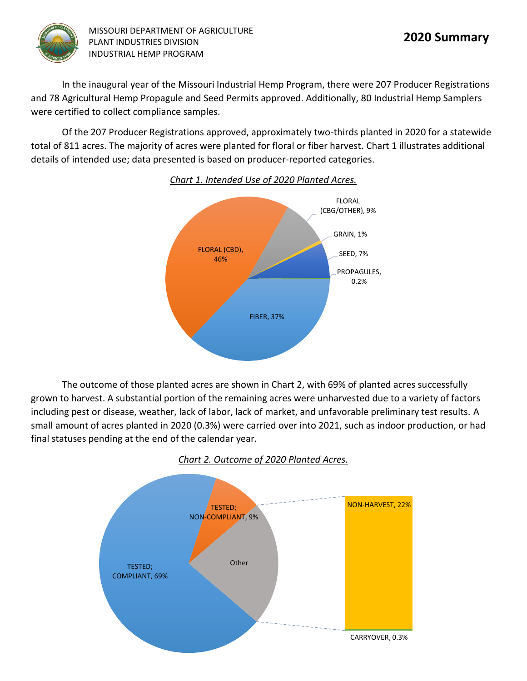

In the inaugural year of the Missouri Industrial Hemp Program, there were 207 Producer Registrations and 78 Agricultural Hemp Propagule and Seed Permits approved. Additionally, 80 Industrial Hemp Samplers were certified to collect compliance samples.

Of the 207 Producer Registrations approved, approximately two-thirds planted in 2020 for a statewide total of 811 acres. The majority of acres were planted for floral or fiber harvest. Chart 1 illustrates additional details of intended use; data presented is based on producer-reported categories.



*Chart 1. Intended Use of 2020 Planted Acres.*

The outcome of those planted acres are shown in Chart 2, with 69% of planted acres successfully grown to harvest. A substantial portion of the remaining acres were unharvested due to a variety of factors including pest or disease, weather, lack of labor, lack of market, and unfavorable preliminary test results. A small amount of acres planted in 2020 (0.3%) were carried over into 2021, such as indoor production, or had final statuses pending at the end of the calendar year.



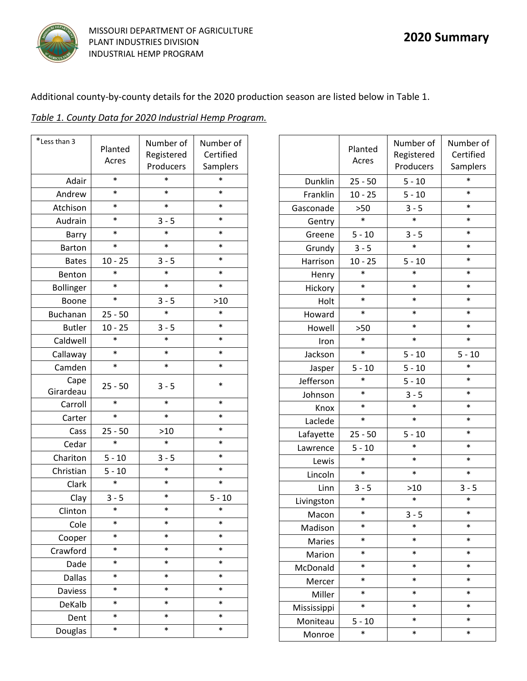

Additional county-by-county details for the 2020 production season are listed below in Table 1.

|--|

| *Less than 3   |                  | Number of  | Number of |
|----------------|------------------|------------|-----------|
|                | Planted<br>Acres | Registered | Certified |
|                |                  | Producers  | Samplers  |
| Adair          | $\ast$           | $\ast$     | $\ast$    |
| Andrew         | $\ast$           | $\ast$     | $\ast$    |
| Atchison       | $\ast$           | $\ast$     | $\ast$    |
| Audrain        | $\ast$           | $3 - 5$    | $\ast$    |
| Barry          | $\ast$           | $\ast$     | $\ast$    |
| Barton         | $\ast$           | $\ast$     | $\ast$    |
| <b>Bates</b>   | $10 - 25$        | $3 - 5$    | $\ast$    |
| Benton         | $\ast$           | $\ast$     | $\ast$    |
| Bollinger      | $\ast$           | $\ast$     | $\ast$    |
| Boone          | $\ast$           | $3 - 5$    | $>10$     |
| Buchanan       | $25 - 50$        | $\ast$     | $\ast$    |
| <b>Butler</b>  | $10 - 25$        | $3 - 5$    | $\ast$    |
| Caldwell       | $\ast$           | $\ast$     | $\ast$    |
| Callaway       | $\ast$           | $\ast$     | $\ast$    |
| Camden         | $\ast$           | $\ast$     | $\ast$    |
| Cape           | $25 - 50$        | $3 - 5$    | $\ast$    |
| Girardeau      |                  |            |           |
| Carroll        | $\ast$           | $\ast$     | $\ast$    |
| Carter         | $\ast$           | $\ast$     | $\ast$    |
| Cass           | $25 - 50$        | $>10$      | $\ast$    |
| Cedar          | $\ast$           | $\ast$     | $\ast$    |
| Chariton       | $5 - 10$         | $3 - 5$    | $\ast$    |
| Christian      | $5 - 10$         | $\ast$     | $\ast$    |
| Clark          | $\ast$           | $\ast$     | $\ast$    |
| Clay           | $3 - 5$          | $\ast$     | $5 - 10$  |
| Clinton        | $\ast$           | $\ast$     | *         |
| Cole           | *                | *          | $\ast$    |
| Cooper         | *                | $\ast$     | *         |
| Crawford       | *                | $\ast$     | $\ast$    |
| Dade           | *                | $\ast$     | $\ast$    |
| <b>Dallas</b>  | *                | $\ast$     | $\ast$    |
| <b>Daviess</b> | *                | $\ast$     | $\ast$    |
| DeKalb         | *                | $\ast$     | $\ast$    |
| Dent           | *                | $\ast$     | $\ast$    |
| Douglas        | $\ast$           | $\ast$     | $\ast$    |

|             | Planted<br>Acres | Number of<br>Registered<br>Producers | Number of<br>Certified<br>Samplers |
|-------------|------------------|--------------------------------------|------------------------------------|
| Dunklin     | $25 - 50$        | $5 - 10$                             | $\ast$                             |
| Franklin    | $10 - 25$        | $5 - 10$                             | $\ast$                             |
| Gasconade   | >50              | $3 - 5$                              | $\ast$                             |
| Gentry      | *                | $\ast$                               | $\ast$                             |
| Greene      | $5 - 10$         | $3 - 5$                              | $\ast$                             |
| Grundy      | $3 - 5$          | $\ast$                               | $\ast$                             |
| Harrison    | $10 - 25$        | $5 - 10$                             | $\ast$                             |
| Henry       | $\ast$           | $\ast$                               | *                                  |
| Hickory     | *                | $\ast$                               | *                                  |
| Holt        | $\ast$           | $\ast$                               | $\ast$                             |
| Howard      | $\ast$           | $\ast$                               | $\ast$                             |
| Howell      | >50              | $\ast$                               | $\ast$                             |
| Iron        | *                | $\ast$                               | $\ast$                             |
| Jackson     | *                | $5 - 10$                             | $5 - 10$                           |
| Jasper      | $5 - 10$         | $5 - 10$                             | *                                  |
| Jefferson   | *                | $5 - 10$                             | $\ast$                             |
| Johnson     | $\ast$           | $3 - 5$                              | $\ast$                             |
| Knox        | *                | $\ast$                               | $\ast$                             |
| Laclede     | $\ast$           | $\ast$                               | $\ast$                             |
| Lafayette   | $25 - 50$        | $5 - 10$                             | *                                  |
| Lawrence    | $5 - 10$         | $\ast$                               | $\ast$                             |
| Lewis       | $\ast$           | $\ast$                               | $\ast$                             |
| Lincoln     | $\ast$           | $\ast$                               | $\ast$                             |
| Linn        | $3 - 5$          | >10                                  | $3 - 5$                            |
| Livingston  | *                | $\ast$                               | $\ast$                             |
| Macon       | *                | $3 - 5$                              | *                                  |
| Madison     | *                | $\ast$                               | *                                  |
| Maries      | $\ast$           | *                                    | *                                  |
| Marion      | $\ast$           | $\ast$                               | $\ast$                             |
| McDonald    | *                | *                                    | *                                  |
| Mercer      | *                | $\ast$                               | *                                  |
| Miller      | *                | *                                    | *                                  |
| Mississippi | *                | $\ast$                               | $\ast$                             |
| Moniteau    | $5 - 10$         | *                                    | *                                  |
| Monroe      | *                | *                                    | $\ast$                             |